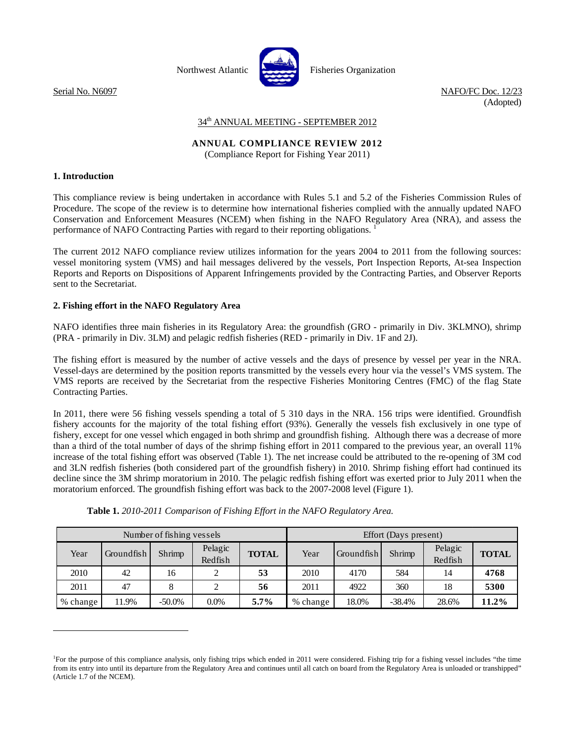

(Adopted)

34<sup>th</sup> ANNUAL MEETING - SEPTEMBER 2012

# **ANNUAL COMPLIANCE REVIEW 2012**

(Compliance Report for Fishing Year 2011)

# **1. Introduction**

l

This compliance review is being undertaken in accordance with Rules 5.1 and 5.2 of the Fisheries Commission Rules of Procedure. The scope of the review is to determine how international fisheries complied with the annually updated NAFO Conservation and Enforcement Measures (NCEM) when fishing in the NAFO Regulatory Area (NRA), and assess the performance of NAFO Contracting Parties with regard to their reporting obligations. 1

The current 2012 NAFO compliance review utilizes information for the years 2004 to 2011 from the following sources: vessel monitoring system (VMS) and hail messages delivered by the vessels, Port Inspection Reports, At-sea Inspection Reports and Reports on Dispositions of Apparent Infringements provided by the Contracting Parties, and Observer Reports sent to the Secretariat.

# **2. Fishing effort in the NAFO Regulatory Area**

NAFO identifies three main fisheries in its Regulatory Area: the groundfish (GRO - primarily in Div. 3KLMNO), shrimp (PRA - primarily in Div. 3LM) and pelagic redfish fisheries (RED - primarily in Div. 1F and 2J).

The fishing effort is measured by the number of active vessels and the days of presence by vessel per year in the NRA. Vessel-days are determined by the position reports transmitted by the vessels every hour via the vessel's VMS system. The VMS reports are received by the Secretariat from the respective Fisheries Monitoring Centres (FMC) of the flag State Contracting Parties.

In 2011, there were 56 fishing vessels spending a total of 5 310 days in the NRA. 156 trips were identified. Groundfish fishery accounts for the majority of the total fishing effort (93%). Generally the vessels fish exclusively in one type of fishery, except for one vessel which engaged in both shrimp and groundfish fishing. Although there was a decrease of more than a third of the total number of days of the shrimp fishing effort in 2011 compared to the previous year, an overall 11% increase of the total fishing effort was observed (Table 1). The net increase could be attributed to the re-opening of 3M cod and 3LN redfish fisheries (both considered part of the groundfish fishery) in 2010. Shrimp fishing effort had continued its decline since the 3M shrimp moratorium in 2010. The pelagic redfish fishing effort was exerted prior to July 2011 when the moratorium enforced. The groundfish fishing effort was back to the 2007-2008 level (Figure 1).

|          | Number of fishing vessels |           |                    |              | Effort (Days present) |            |          |                    |              |  |
|----------|---------------------------|-----------|--------------------|--------------|-----------------------|------------|----------|--------------------|--------------|--|
| Year     | Groundfish                | Shrimp    | Pelagic<br>Redfish | <b>TOTAL</b> | Year                  | Groundfish | Shrimp   | Pelagic<br>Redfish | <b>TOTAL</b> |  |
| 2010     | 42                        | 16        |                    | 53           | 2010                  | 4170       | 584      | 14                 | 4768         |  |
| 2011     | 47                        | 8         |                    | 56           | 2011                  | 4922       | 360      | 18                 | 5300         |  |
| % change | 11.9%                     | $-50.0\%$ | $0.0\%$            | $5.7\%$      | % change              | 18.0%      | $-38.4%$ | 28.6%              | 11.2%        |  |

**Table 1.** *2010-2011 Comparison of Fishing Effort in the NAFO Regulatory Area.* 

<sup>1</sup> For the purpose of this compliance analysis, only fishing trips which ended in 2011 were considered. Fishing trip for a fishing vessel includes "the time from its entry into until its departure from the Regulatory Area and continues until all catch on board from the Regulatory Area is unloaded or transhipped" (Article 1.7 of the NCEM).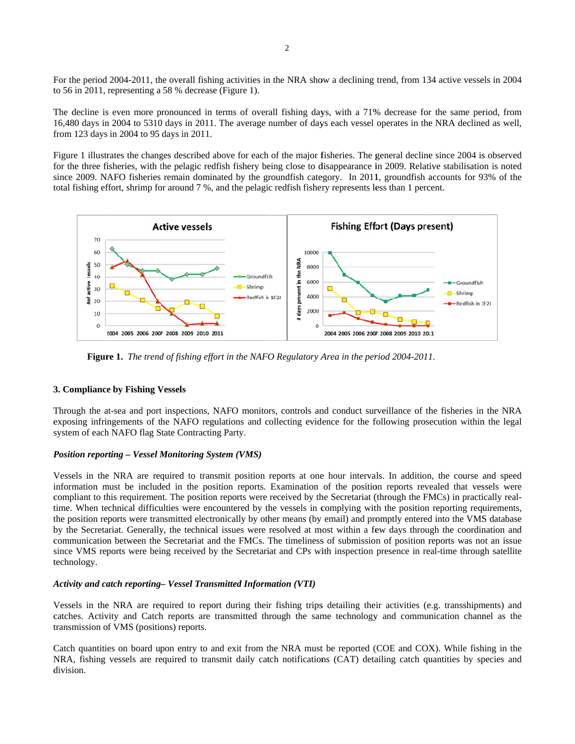For the period 2004-2011, the overall fishing activities in the NRA show a declining trend, from 134 active vessels in 2004 to 56 in 2011, representing a 58 % decrease (Figure 1).

The decline is even more pronounced in terms of overall fishing days, with a 71% decrease for the same period, from f from 123 days in 2004 to 95 days in 2011. 16,480 days in 2004 to 5310 days in 2011. The average number of days each vessel operates in the NRA declined as well,

Figure 1 illustrates the changes described above for each of the major fisheries. The general decline since 2004 is observed for the three fisheries, with the pelagic redfish fishery being close to disappearance in 2009. Relative stabilisation is noted total fishing effort, shrimp for around 7 %, and the pelagic redfish fishery represents less than 1 percent. since 2009. NAFO fisheries remain dominated by the groundfish category. In 2011, groundfish accounts for 93% of the



**Figure 1.** The trend of fishing effort in the NAFO Regulatory Area in the period 2004-2011.

## **3 3. Compliance e by Fishing V Vessels**

Through the at-sea and port inspections, NAFO monitors, controls and conduct surveillance of the fisheries in the NRA exposing infringements of the NAFO regulations and collecting evidence for the following prosecution within the legal system of each NAFO flag State Contracting Party.

## **Position reporting – Vessel Monitoring System (VMS)**

Vessels in the NRA are required to transmit position reports at one hour intervals. In addition, the course and speed information must be included in the position reports. Examination of the position reports revealed that vessels were compliant to this requirement. The position reports were received by the Secretariat (through the FMCs) in practically realtime. When technical difficulties were encountered by the vessels in complying with the position reporting requirements, the position reports were transmitted electronically by other means (by email) and promptly entered into the VMS database by the Secretariat. Generally, the technical issues were resolved at most within a few days through the coordination and communication between the Secretariat and the FMCs. The timeliness of submission of position reports was not an issue t technology. since VMS reports were being received by the Secretariat and CPs with inspection presence in real-time through satellite

# Activity and catch reporting– Vessel Transmitted Information (VTI)

Vessels in the NRA are required to report during their fishing trips detailing their activities (e.g. transshipments) and catches. Activity and Catch reports are transmitted through the same technology and communication channel as the transmission of VMS (positions) reports.

Catch quantities on board upon entry to and exit from the NRA must be reported (COE and COX). While fishing in the NRA, fishing vessels are required to transmit daily catch notifications (CAT) detailing catch quantities by species and d division.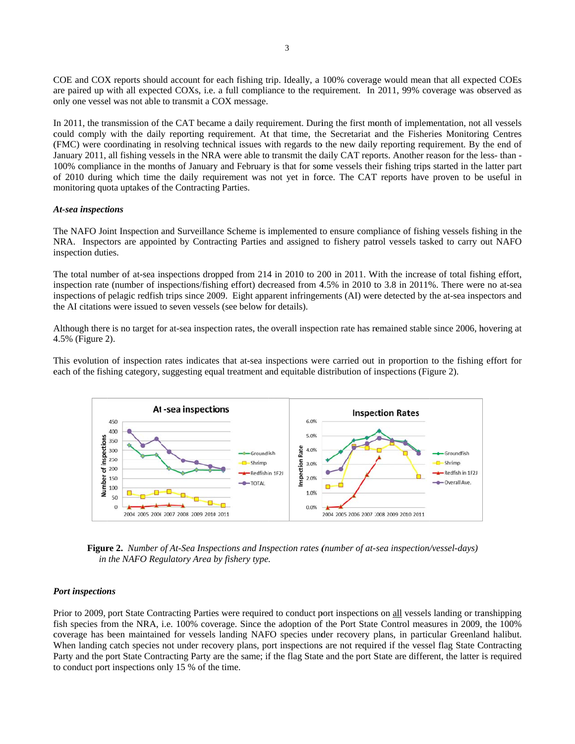COE and COX reports should account for each fishing trip. Ideally, a 100% coverage would mean that all expected COEs are paired up with all expected COXs, i.e. a full compliance to the requirement. In 2011, 99% coverage was observed as only one vessel was not able to transmit a COX message.

In 2011, the transmission of the CAT became a daily requirement. During the first month of implementation, not all vessels could comply with the daily reporting requirement. At that time, the Secretariat and the Fisheries Monitoring Centres (FMC) were coordinating in resolving technical issues with regards to the new daily reporting requirement. By the end of January 2011, all fishing vessels in the NRA were able to transmit the daily CAT reports. Another reason for the less-than of 2010 during which time the daily requirement was not yet in force. The CAT reports have proven to be useful in monitoring quota uptakes of the Contracting Parties. 100% compliance in the months of January and February is that for some vessels their fishing trips started in the latter part

### *A At-sea inspect tions*

The NAFO Joint Inspection and Surveillance Scheme is implemented to ensure compliance of fishing vessels fishing in the NRA. Inspectors are appointed by Contracting Parties and assigned to fishery patrol vessels tasked to carry out NAFO inspection duties.

The total number of at-sea inspections dropped from 214 in 2010 to 200 in 2011. With the increase of total fishing effort, inspection rate (number of inspections/fishing effort) decreased from 4.5% in 2010 to 3.8 in 2011%. There were no at-sea inspections of pelagic redfish trips since 2009. Eight apparent infringements (AI) were detected by the at-sea inspectors and the AI citations were issued to seven vessels (see below for details).

Although there is no target for at-sea inspection rates, the overall inspection rate has remained stable since 2006, hovering at 4 4.5% (Figure 2 2).

This evolution of inspection rates indicates that at-sea inspections were carried out in proportion to the fishing effort for each of the fishing category, suggesting equal treatment and equitable distribution of inspections (Figure 2).



**Figure 2.** *Number of At-Sea Inspections and Inspection rates (number of at-sea inspection/vessel-days) in the NAFO Regulatory Area by fishery type.* 

#### *Port inspections*

Prior to 2009, port State Contracting Parties were required to conduct port inspections on all vessels landing or transhipping fish species from the NRA, i.e. 100% coverage. Since the adoption of the Port State Control measures in 2009, the 100% coverage has been maintained for vessels landing NAFO species under recovery plans, in particular Greenland halibut. When landing catch species not under recovery plans, port inspections are not required if the vessel flag State Contracting Party and the port State Contracting Party are the same; if the flag State and the port State are different, the latter is required to conduct port inspections only 15 % of the time.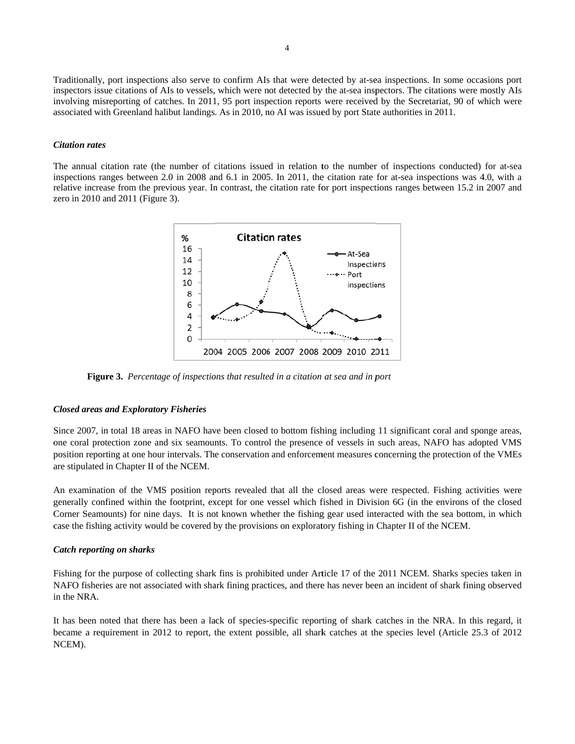Traditionally, port inspections also serve to confirm AIs that were detected by at-sea inspections. In some occasions port inspectors issue citations of AIs to vessels, which were not detected by the at-sea inspectors. The citations were mostly AIs involving misreporting of catches. In 2011, 95 port inspection reports were received by the Secretariat, 90 of which were associated with Greenland halibut landings. As in 2010, no AI was issued by port State authorities in 2011.

### *Citation rates*

The annual citation rate (the number of citations issued in relation to the number of inspections conducted) for at-sea inspections ranges between 2.0 in 2008 and 6.1 in 2005. In 2011, the citation rate for at-sea inspections was 4.0, with a relative increase from the previous year. In contrast, the citation rate for port inspections ranges between 15.2 in 2007 and zero in 2010 and 2011 (Figure 3).



**Figure 3.** Percentage of inspections that resulted in a citation at sea and in port

#### *Closed areas and Exploratory Fisheries*

one coral protection zone and six seamounts. To control the presence of vessels in such areas, NAFO has adopted VMS position reporting at one hour intervals. The conservation and enforcement measures concerning the protection of the VMEs a are stipulated i in Chapter II o f the NCEM. Since 2007, in total 18 areas in NAFO have been closed to bottom fishing including 11 significant coral and sponge areas,

An examination of the VMS position reports revealed that all the closed areas were respected. Fishing activities were generally confined within the footprint, except for one vessel which fished in Division 6G (in the environs of the closed Corner Seamounts) for nine days. It is not known whether the fishing gear used interacted with the sea bottom, in which case the fishing activity would be covered by the provisions on exploratory fishing in Chapter II of the NCEM.

### *Catch reporting on sharks*

Fishing for the purpose of collecting shark fins is prohibited under Article 17 of the 2011 NCEM. Sharks species taken in NAFO fisheries are not associated with shark fining practices, and there has never been an incident of shark fining observed i in the NRA.

It has been noted that there has been a lack of species-specific reporting of shark catches in the NRA. In this regard, it became a requirement in 2012 to report, the extent possible, all shark catches at the species level (Article 25.3 of 2012 N NCEM).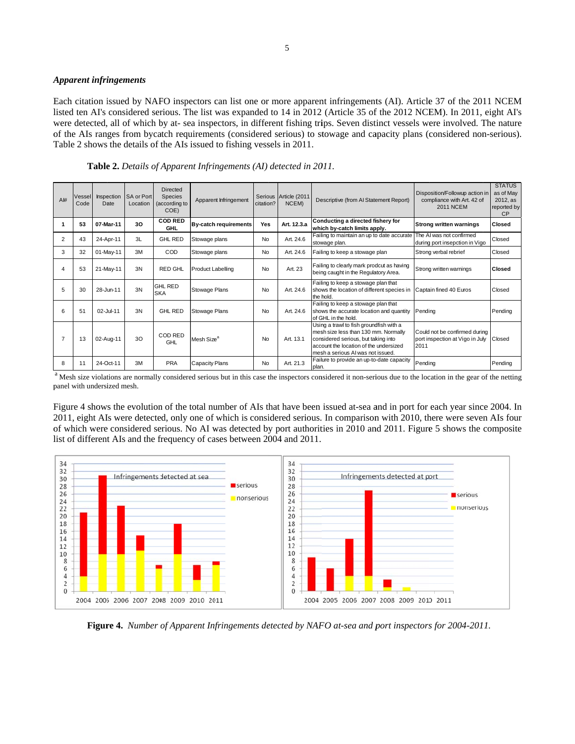#### *A Apparent infri ingements*

Each citation issued by NAFO inspectors can list one or more apparent infringements (AI). Article 37 of the 2011 NCEM listed ten AI's considered serious. The list was expanded to 14 in 2012 (Article 35 of the 2012 NCEM). In 2011, eight AI's were detected, all of which by at-sea inspectors, in different fishing trips. Seven distinct vessels were involved. The nature of the AIs ranges from bycatch requirements (considered serious) to stowage and capacity plans (considered non-serious). Table 2 shows the details of the AIs issued to fishing vessels in 2011.

| AH       | Vessel<br>Code | Inspection<br>Date | SA or Port<br>Location | <b>Directed</b><br>Species<br>(according to<br>COE) | Apparent Infringement        | citation? | Serious Article (2011<br>NCEM) | Descriptive (from AI Statement Report)                                                                                                                                                                | Disposition/Followup action in<br>compliance with Art. 42 of<br><b>2011 NCEM</b> | <b>STATUS</b><br>as of May<br>2012, as<br>reported by<br><b>CP</b> |
|----------|----------------|--------------------|------------------------|-----------------------------------------------------|------------------------------|-----------|--------------------------------|-------------------------------------------------------------------------------------------------------------------------------------------------------------------------------------------------------|----------------------------------------------------------------------------------|--------------------------------------------------------------------|
|          | 53             | 07-Mar-11          | 30                     | <b>COD RED</b><br><b>GHL</b>                        | <b>By-catch requirements</b> | Yes       | Art. 12.3.a                    | Conducting a directed fishery for<br>which by-catch limits apply.                                                                                                                                     | <b>Strong written warnings</b>                                                   | <b>Closed</b>                                                      |
| 2        | 43             | 24-Apr-11          | 3L                     | <b>GHL RED</b>                                      | Stowage plans                | No        | Art. 24.6                      | Failing to maintain an up to date accurate<br>stowage plan.                                                                                                                                           | The AI was not confirmed<br>during port insepction in Vigo                       | Closed                                                             |
| 3        | 32             | 01-May-11          | 3M                     | COD                                                 | Stowage plans                | No        | Art. 24.6                      | Failing to keep a stowage plan                                                                                                                                                                        | Strong verbal rebrief                                                            | Closed                                                             |
| $\Delta$ | 53             | 21-May-11          | 3N                     | <b>RED GHL</b>                                      | <b>Product Labelling</b>     | No        | Art. 23                        | Failing to clearly mark prodcut as having<br>being caught in the Regulatory Area.                                                                                                                     | Strong written warnings                                                          | <b>Closed</b>                                                      |
| 5        | 30             | 28-Jun-11          | 3N                     | <b>GHL RED</b><br><b>SKA</b>                        | <b>Stowage Plans</b>         | No        | Art. 24.6                      | Failing to keep a stowage plan that<br>shows the location of different species in<br>the hold.                                                                                                        | Captain fined 40 Euros                                                           | Closed                                                             |
| 6        | 51             | 02-Jul-11          | 3N                     | <b>GHL RED</b>                                      | <b>Stowage Plans</b>         | No        | Art. 24.6                      | Failing to keep a stowage plan that<br>shows the accurate location and quantity<br>of GHL in the hold.                                                                                                | Pending                                                                          | Pending                                                            |
|          | 13             | 02-Aug-11          | 3O                     | COD RED<br>GHL                                      | Mesh Size <sup>a</sup>       | No        | Art. 13.1                      | Using a trawl to fish groundfish with a<br>mesh size less than 130 mm. Normally<br>considered serious, but taking into<br>account the location of the undersized<br>mesh a serious AI was not issued. | Could not be confirmed during<br>port inspection at Vigo in July<br>2011         | Closed                                                             |
| 8        | 11             | 24-Oct-11          | 3M                     | PRA                                                 | <b>Capacity Plans</b>        | No        | Art. 21.3                      | Failure to provide an up-to-date capacity<br>plan.                                                                                                                                                    | Pending                                                                          | Pendina                                                            |

**Table 2.** Details of Apparent Infringements (AI) detected in 2011.

panel with undersized mesh. <sup>a</sup> Mesh size violations are normally considered serious but in this case the inspectors considered it non-serious due to the location in the gear of the netting

Figure 4 shows the evolution of the total number of AIs that have been issued at-sea and in port for each year since 2004. In 2011, eight AIs were detected, only one of which is considered serious. In comparison with 2010, there were seven AIs four of which were considered serious. No AI was detected by port authorities in 2010 and 2011. Figure 5 shows the composite list of different AIs and the frequency of cases between 2004 and 2011.



**Figure 4.** Number of Apparent Infringements detected by NAFO at-sea and port inspectors for 2004-2011.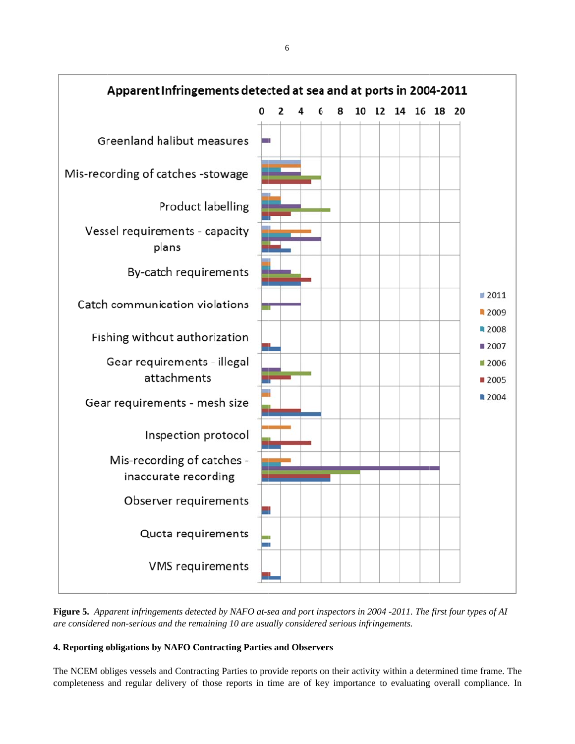

**Figure 5.** Apparent infringements detected by NAFO at-sea and port inspectors in 2004 -2011. The first four types of AI *are considered non-serious and the remaining 10 are usually considered serious infringements.* 

# **4 4. Reporting o obligations by y NAFO Contr racting Partie s and Observe ers**

The NCEM obliges vessels and Contracting Parties to provide reports on their activity within a determined time frame. The completeness and regular delivery of those reports in time are of key importance to evaluating overall compliance. In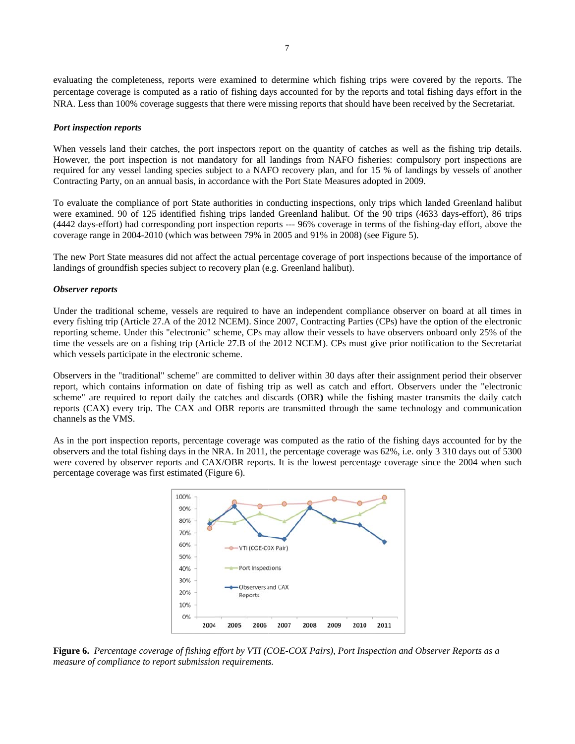evaluating the completeness, reports were examined to determine which fishing trips were covered by the reports. The percentage coverage is computed as a ratio of fishing days accounted for by the reports and total fishing days effort in the NRA. Less than 100% coverage suggests that there were missing reports that should have been received by the Secretariat.

### *Port inspection reports*

When vessels land their catches, the port inspectors report on the quantity of catches as well as the fishing trip details. However, the port inspection is not mandatory for all landings from NAFO fisheries: compulsory port inspections are required for any vessel landing species subject to a NAFO recovery plan, and for 15 % of landings by vessels of another Contracting Party, on an annual basis, in accordance with the Port State Measures adopted in 2009.

To evaluate the compliance of port State authorities in conducting inspections, only trips which landed Greenland halibut were examined. 90 of 125 identified fishing trips landed Greenland halibut. Of the 90 trips (4633 days-effort), 86 trips ( (4442 days-eff fort) had corre sponding port inspection rep ports --- 96% c overage in term ms of the fishi ing-day effort, above the coverage range in 2004-2010 (which was between 79% in 2005 and 91% in 2008) (see Figure 5).

The new Port State measures did not affect the actual percentage coverage of port inspections because of the importance of landings of groundfish species subject to recovery plan (e.g. Greenland halibut).

#### *Observer reports*

Under the traditional scheme, vessels are required to have an independent compliance observer on board at all times in every fishing trip (Article 27.A of the 2012 NCEM). Since 2007, Contracting Parties (CPs) have the option of the electronic reporting scheme. Under this "electronic" scheme, CPs may allow their vessels to have observers onboard only 25% of the time the vessels are on a fishing trip (Article 27.B of the 2012 NCEM). CPs must give prior notification to the Secretariat which vessels participate in the electronic scheme.

Observers in the "traditional" scheme" are committed to deliver within 30 days after their assignment period their observer report, which contains information on date of fishing trip as well as catch and effort. Observers under the "electronic reports (CAX) every trip. The CAX and OBR reports are transmitted through the same technology and communication channels as the VMS. scheme" are required to report daily the catches and discards (OBR) while the fishing master transmits the daily catch

As in the port inspection reports, percentage coverage was computed as the ratio of the fishing days accounted for by the observers and the total fishing days in the NRA. In 2011, the percentage coverage was 62%, i.e. only 3 310 days out of 5300 were covered by observer reports and CAX/OBR reports. It is the lowest percentage coverage since the 2004 when such percentage coverage was first estimated (Figure 6).



**Figure 6.** Percentage coverage of fishing effort by VTI (COE-COX Pairs), Port Inspection and Observer Reports as a measure of compliance to report submission requirements.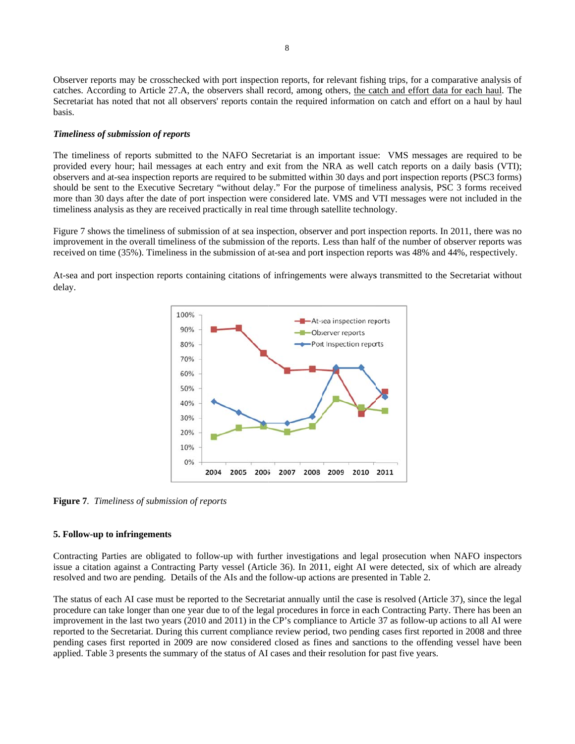Observer reports may be crosschecked with port inspection reports, for relevant fishing trips, for a comparative analysis of catches. According to Article 27.A, the observers shall record, among others, the catch and effort data for each haul. The b basis. Secretariat has noted that not all observers' reports contain the required information on catch and effort on a haul by haul

# *Timeliness of submission of f reports*

The timeliness of reports submitted to the NAFO Secretariat is an important issue: VMS messages are required to be provided every hour; hail messages at each entry and exit from the NRA as well catch reports on a daily basis (VTI); o observers and at-sea inspecti on reports are required to be submitted with hin 30 days an d port inspecti on reports (PS C3 forms) more than 30 days after the date of port inspection were considered late. VMS and VTI messages were not included in the timeliness analysis as they are received practically in real time through satellite technology. should be sent to the Executive Secretary "without delay." For the purpose of timeliness analysis, PSC 3 forms received

Figure 7 shows the timeliness of submission of at sea inspection, observer and port inspection reports. In 2011, there was no improvement in the overall timeliness of the submission of the reports. Less than half of the number of observer reports was received on time (35%). Timeliness in the submission of at-sea and port inspection reports was 48% and 44%, respectively.

At-sea and port inspection reports containing citations of infringements were always transmitted to the Secretariat without d delay.



Figure 7. Timeliness of submission of reports

## **5.** Follow-up to infringements

Contracting Parties are obligated to follow-up with further investigations and legal prosecution when NAFO inspectors issue a citation against a Contracting Party vessel (Article 36). In 2011, eight AI were detected, six of which are already resolved and two are pending. Details of the AIs and the follow-up actions are presented in Table 2.

resolved and two are pending. Details of the AIs and the follow-up actions are presented in Table 2.<br>The status of each AI case must be reported to the Secretariat annually until the case is resolved (Article 37), since th procedure can take longer than one year due to of the legal procedures in force in each Contracting Party. There has been an improvement in the last two years (2010 and 2011) in the CP's compliance to Article 37 as follow-up actions to all AI were reported to the Secretariat. During this current compliance review period, two pending cases first reported in 2008 and three pending cases first reported in 2009 are now considered closed as fines and sanctions to the offending vessel have been applied. Table 3 presents the summary of the status of AI cases and their resolution for past five years.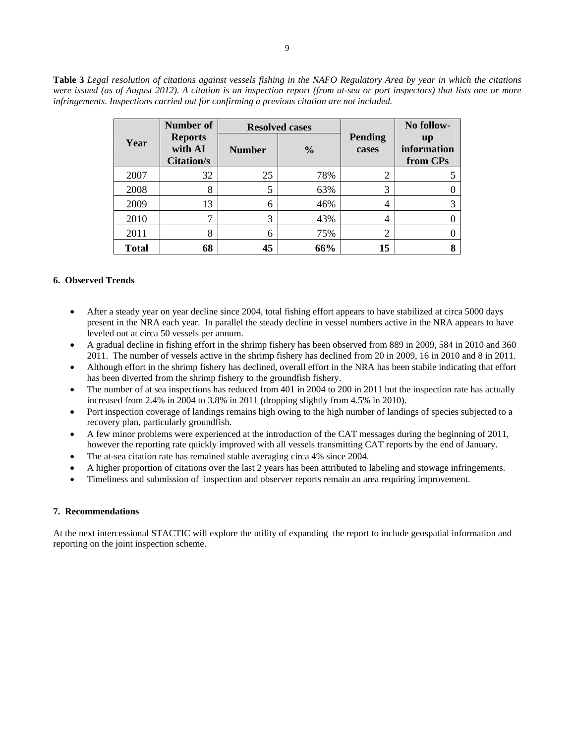**Table 3** *Legal resolution of citations against vessels fishing in the NAFO Regulatory Area by year in which the citations were issued (as of August 2012). A citation is an inspection report (from at-sea or port inspectors) that lists one or more infringements. Inspections carried out for confirming a previous citation are not included.*

| Number of    |                                                |               | <b>Resolved cases</b> |                         | No follow-                           |
|--------------|------------------------------------------------|---------------|-----------------------|-------------------------|--------------------------------------|
| Year         | <b>Reports</b><br>with AI<br><b>Citation/s</b> | <b>Number</b> | $\frac{0}{0}$         | <b>Pending</b><br>cases | <b>up</b><br>information<br>from CPs |
| 2007         | 32                                             | 25            | 78%                   |                         |                                      |
| 2008         | 8                                              | 5             | 63%                   | 3                       |                                      |
| 2009         | 13                                             | 6             | 46%                   | 4                       |                                      |
| 2010         | 7                                              | 3             | 43%                   | 4                       |                                      |
| 2011         | 8                                              | 6             | 75%                   | $\overline{2}$          |                                      |
| <b>Total</b> | 68                                             | 45            | 66%                   | 15                      | 8                                    |

# **6. Observed Trends**

- After a steady year on year decline since 2004, total fishing effort appears to have stabilized at circa 5000 days present in the NRA each year. In parallel the steady decline in vessel numbers active in the NRA appears to have leveled out at circa 50 vessels per annum.
- A gradual decline in fishing effort in the shrimp fishery has been observed from 889 in 2009, 584 in 2010 and 360 2011. The number of vessels active in the shrimp fishery has declined from 20 in 2009, 16 in 2010 and 8 in 2011.
- Although effort in the shrimp fishery has declined, overall effort in the NRA has been stabile indicating that effort has been diverted from the shrimp fishery to the groundfish fishery.
- The number of at sea inspections has reduced from 401 in 2004 to 200 in 2011 but the inspection rate has actually increased from 2.4% in 2004 to 3.8% in 2011 (dropping slightly from 4.5% in 2010).
- Port inspection coverage of landings remains high owing to the high number of landings of species subjected to a recovery plan, particularly groundfish.
- A few minor problems were experienced at the introduction of the CAT messages during the beginning of 2011, however the reporting rate quickly improved with all vessels transmitting CAT reports by the end of January.
- The at-sea citation rate has remained stable averaging circa 4% since 2004.
- A higher proportion of citations over the last 2 years has been attributed to labeling and stowage infringements.
- Timeliness and submission of inspection and observer reports remain an area requiring improvement.

## **7. Recommendations**

At the next intercessional STACTIC will explore the utility of expanding the report to include geospatial information and reporting on the joint inspection scheme.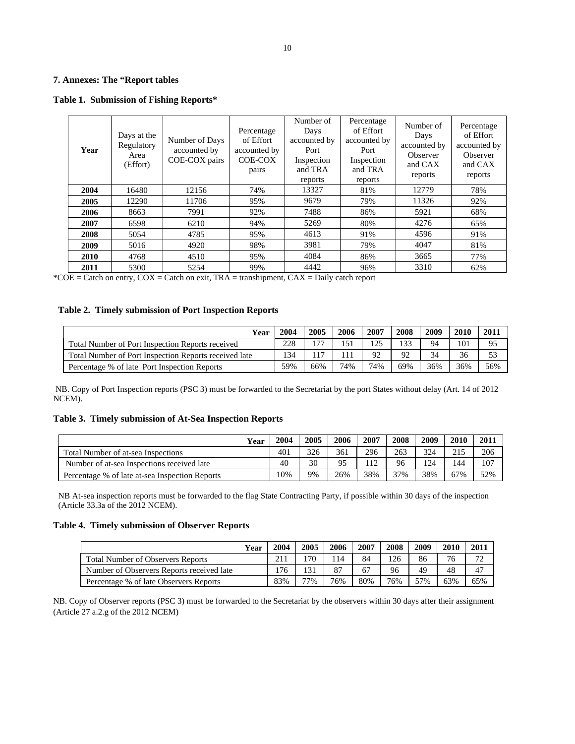### **7. Annexes: The "Report tables**

**Table 1. Submission of Fishing Reports\***

| Year | Days at the<br>Regulatory<br>Area<br>(Effort) | Number of Days<br>accounted by<br>COE-COX pairs | Percentage<br>of Effort<br>accounted by<br>COE-COX<br>pairs | Number of<br>Days<br>accounted by<br>Port<br>Inspection<br>and TRA<br>reports | Percentage<br>of Effort<br>accounted by<br>Port<br>Inspection<br>and TRA<br>reports | Number of<br>Days<br>accounted by<br>Observer<br>and CAX<br>reports | Percentage<br>of Effort<br>accounted by<br><b>Observer</b><br>and CAX<br>reports |
|------|-----------------------------------------------|-------------------------------------------------|-------------------------------------------------------------|-------------------------------------------------------------------------------|-------------------------------------------------------------------------------------|---------------------------------------------------------------------|----------------------------------------------------------------------------------|
| 2004 | 16480                                         | 12156                                           | 74%                                                         | 13327                                                                         | 81%                                                                                 | 12779                                                               | 78%                                                                              |
| 2005 | 12290                                         | 11706                                           | 95%                                                         | 9679                                                                          | 79%                                                                                 | 11326                                                               | 92%                                                                              |
| 2006 | 8663                                          | 7991                                            | 92%                                                         | 7488                                                                          | 86%                                                                                 | 5921                                                                | 68%                                                                              |
| 2007 | 6598                                          | 6210                                            | 94%                                                         | 5269                                                                          | 80%                                                                                 | 4276                                                                | 65%                                                                              |
| 2008 | 5054                                          | 4785                                            | 95%                                                         | 4613                                                                          | 91%                                                                                 | 4596                                                                | 91%                                                                              |
| 2009 | 5016                                          | 4920                                            | 98%                                                         | 3981                                                                          | 79%                                                                                 | 4047                                                                | 81%                                                                              |
| 2010 | 4768                                          | 4510                                            | 95%                                                         | 4084                                                                          | 86%                                                                                 | 3665                                                                | 77%                                                                              |
| 2011 | 5300                                          | 5254                                            | 99%                                                         | 4442                                                                          | 96%                                                                                 | 3310                                                                | 62%                                                                              |

\*COE = Catch on entry,  $COX =$  Catch on exit, TRA = transhipment,  $CAX =$  Daily catch report

## **Table 2. Timely submission of Port Inspection Reports**

| Year                                                  | 2004 | 2005 | 2006 | 2007     | 2008 | 2009 | 2010 | 2011 |
|-------------------------------------------------------|------|------|------|----------|------|------|------|------|
| Total Number of Port Inspection Reports received      | 228  | $-$  | 151  | 125      | 133  | 94   | 101  | 95   |
| Total Number of Port Inspection Reports received late | 134  |      |      | $\Omega$ | 92   | 34   | 36   | 53   |
| Percentage % of late Port Inspection Reports          | 59%  | 66%  | 74%  | 74%      | 69%  | 36%  | 36%  | 56%  |

NB. Copy of Port Inspection reports (PSC 3) must be forwarded to the Secretariat by the port States without delay (Art. 14 of 2012 NCEM).

## **Table 3. Timely submission of At-Sea Inspection Reports**

| <b>Year</b>                                    | 2004 | 2005 | 2006 | 2007        | 2008 | 2009 | 2010 | 2011 |
|------------------------------------------------|------|------|------|-------------|------|------|------|------|
| Total Number of at-sea Inspections             | 401  | 326  | 361  | 296         | 263  | 324  | 215  | 206  |
| Number of at-sea Inspections received late     | 40   | 30   | 95   | $1^{\circ}$ | 96   | 124  | 144  | 107  |
| Percentage % of late at-sea Inspection Reports | 10%  | 9%   | 26%  | 38%         | 37%  | 38%  | 67%  | 52%  |

NB At-sea inspection reports must be forwarded to the flag State Contracting Party, if possible within 30 days of the inspection (Article 33.3a of the 2012 NCEM).

### **Table 4. Timely submission of Observer Reports**

| Year                                      | 2004 | 2005 | 2006 | 2007 | 2008 | 2009 | 2010 | 2011 |
|-------------------------------------------|------|------|------|------|------|------|------|------|
| <b>Total Number of Observers Reports</b>  | 211  | 70   | 14   | 84   | 126  | 86   | 76   | 72   |
| Number of Observers Reports received late | '76  | l 31 | 87   | 67   | 96   | 49   | 48   | 47   |
| Percentage % of late Observers Reports    | 83%  | 77%  | 76%  | 80%  | 76%  | 57%  | 63%  | 65%  |

NB. Copy of Observer reports (PSC 3) must be forwarded to the Secretariat by the observers within 30 days after their assignment (Article 27 a.2.g of the 2012 NCEM)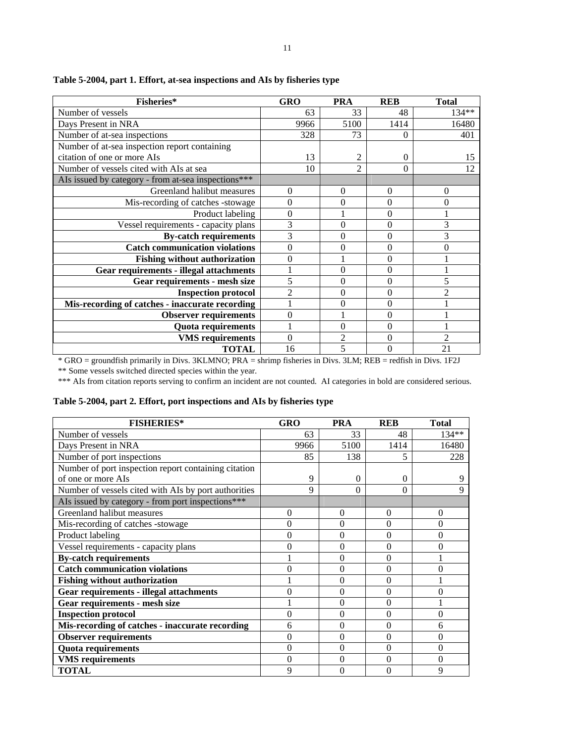| Fisheries*                                          | GRO            | <b>PRA</b>     | <b>REB</b> | <b>Total</b>             |
|-----------------------------------------------------|----------------|----------------|------------|--------------------------|
| Number of vessels                                   | 63             | 33             | 48         | $134**$                  |
| Days Present in NRA                                 | 9966           | 5100           | 1414       | 16480                    |
| Number of at-sea inspections                        | 328            | 73             | $\Omega$   | 401                      |
| Number of at-sea inspection report containing       |                |                |            |                          |
| citation of one or more AIs                         | 13             | 2              | $\Omega$   | 15                       |
| Number of vessels cited with AIs at sea             | 10             | $\mathfrak{D}$ | 0          | 12                       |
| AIs issued by category - from at-sea inspections*** |                |                |            |                          |
| Greenland halibut measures                          | 0              | $\theta$       | $\theta$   | $\theta$                 |
| Mis-recording of catches -stowage                   | $\Omega$       | 0              | 0          | 0                        |
| Product labeling                                    | $\theta$       |                | $\theta$   |                          |
| Vessel requirements - capacity plans                | 3              | 0              | $\theta$   | 3                        |
| <b>By-catch requirements</b>                        | 3              | $\theta$       | $\theta$   | 3                        |
| <b>Catch communication violations</b>               | 0              | 0              | $\Omega$   | 0                        |
| <b>Fishing without authorization</b>                | 0              |                | $\theta$   |                          |
| <b>Gear requirements - illegal attachments</b>      |                | $\theta$       | $\theta$   |                          |
| <b>Gear requirements - mesh size</b>                | 5              | 0              | $\Omega$   | 5                        |
| <b>Inspection protocol</b>                          | $\mathfrak{D}$ | $\theta$       | $\theta$   | $\overline{\mathcal{L}}$ |
| Mis-recording of catches - inaccurate recording     |                | 0              | $\Omega$   |                          |
| <b>Observer requirements</b>                        | 0              |                | $\theta$   |                          |
| <b>Quota requirements</b>                           |                | $\theta$       | $\theta$   |                          |
| <b>VMS</b> requirements                             | $\Omega$       | 2              | $\theta$   | $\overline{2}$           |
| <b>TOTAL</b>                                        | 16             | 5              | $\Omega$   | 21                       |

**Table 5-2004, part 1. Effort, at-sea inspections and AIs by fisheries type** 

\* GRO = groundfish primarily in Divs. 3KLMNO; PRA = shrimp fisheries in Divs. 3LM; REB = redfish in Divs. 1F2J \*\* Some vessels switched directed species within the year.

|  |  |  | Table 5-2004, part 2. Effort, port inspections and AIs by fisheries type |
|--|--|--|--------------------------------------------------------------------------|
|--|--|--|--------------------------------------------------------------------------|

| <b>FISHERIES*</b>                                    | GRO      | <b>PRA</b> | <b>REB</b> | <b>Total</b> |
|------------------------------------------------------|----------|------------|------------|--------------|
| Number of vessels                                    | 63       | 33         | 48         | $134**$      |
| Days Present in NRA                                  | 9966     | 5100       | 1414       | 16480        |
| Number of port inspections                           | 85       | 138        | 5          | 228          |
| Number of port inspection report containing citation |          |            |            |              |
| of one or more AIs                                   | 9        | $\Omega$   | 0          | 9            |
| Number of vessels cited with AIs by port authorities | 9        | 0          | 0          | 9            |
| AIs issued by category - from port inspections***    |          |            |            |              |
| Greenland halibut measures                           | $\theta$ | $\Omega$   | $\Omega$   | $\Omega$     |
| Mis-recording of catches -stowage                    | $\theta$ | 0          | 0          | 0            |
| Product labeling                                     | $\theta$ | $\Omega$   | $\theta$   | 0            |
| Vessel requirements - capacity plans                 | $\theta$ | $\Omega$   | $\theta$   | 0            |
| <b>By-catch requirements</b>                         | 1        | $\Omega$   | $\theta$   |              |
| <b>Catch communication violations</b>                | $\theta$ | $\Omega$   | $\theta$   | $\Omega$     |
| <b>Fishing without authorization</b>                 |          | $\Omega$   | $\theta$   |              |
| <b>Gear requirements - illegal attachments</b>       | $\Omega$ | $\Omega$   | $\theta$   | 0            |
| Gear requirements - mesh size                        |          | $\Omega$   | $\theta$   |              |
| <b>Inspection protocol</b>                           | $\theta$ | $\Omega$   | $\theta$   | $\theta$     |
| Mis-recording of catches - inaccurate recording      | 6        | $\Omega$   | $\Omega$   | 6            |
| <b>Observer requirements</b>                         | $\theta$ | $\Omega$   | $\theta$   | $\Omega$     |
| <b>Quota requirements</b>                            | $\theta$ | $\Omega$   | $\theta$   | $\Omega$     |
| <b>VMS</b> requirements                              | $\theta$ | $\Omega$   | $\theta$   | $\Omega$     |
| <b>TOTAL</b>                                         | 9        | $\Omega$   | $\theta$   | 9            |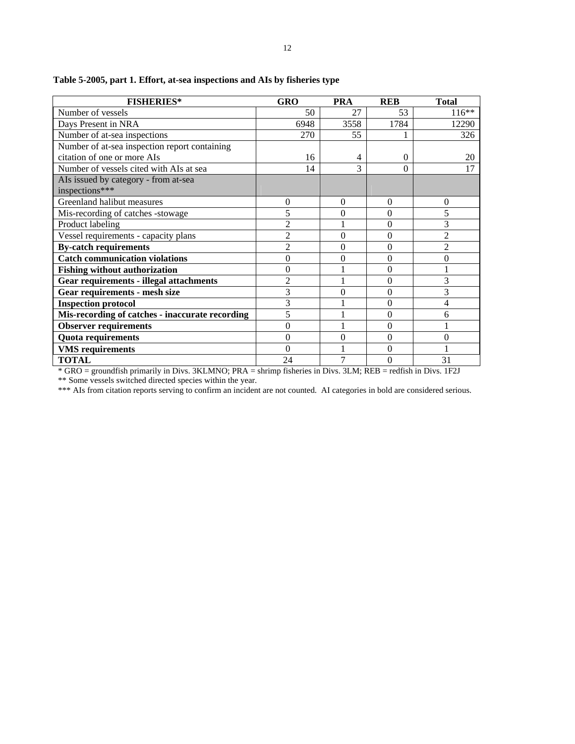| <b>FISHERIES*</b>                               | <b>GRO</b>     | <b>PRA</b> | <b>REB</b> | <b>Total</b>   |
|-------------------------------------------------|----------------|------------|------------|----------------|
| Number of vessels                               | 50             | 27         | 53         | $116**$        |
| Days Present in NRA                             | 6948           | 3558       | 1784       | 12290          |
| Number of at-sea inspections                    | 270            | 55         |            | 326            |
| Number of at-sea inspection report containing   |                |            |            |                |
| citation of one or more AIs                     | 16             | 4          | $\Omega$   | 20             |
| Number of vessels cited with AIs at sea         | 14             | 3          | $\theta$   | 17             |
| AIs issued by category - from at-sea            |                |            |            |                |
| inspections***                                  |                |            |            |                |
| Greenland halibut measures                      | $\theta$       | $\Omega$   | $\Omega$   | $\mathbf{0}$   |
| Mis-recording of catches -stowage               | 5              | $\theta$   | $\Omega$   | 5              |
| Product labeling                                | $\overline{2}$ | 1          | $\Omega$   | 3              |
| Vessel requirements - capacity plans            | $\overline{2}$ | $\theta$   | $\Omega$   | $\overline{2}$ |
| <b>By-catch requirements</b>                    | $\overline{2}$ | $\theta$   | $\theta$   | $\overline{2}$ |
| <b>Catch communication violations</b>           | $\theta$       | $\theta$   | $\theta$   | $\theta$       |
| <b>Fishing without authorization</b>            | $\theta$       |            | $\theta$   |                |
| <b>Gear requirements - illegal attachments</b>  | $\overline{2}$ |            | $\theta$   | 3              |
| <b>Gear requirements - mesh size</b>            | 3              | $\theta$   | $\Omega$   | 3              |
| <b>Inspection protocol</b>                      | 3              |            | $\theta$   | 4              |
| Mis-recording of catches - inaccurate recording | 5              |            | $\Omega$   | 6              |
| <b>Observer requirements</b>                    | $\Omega$       |            | $\Omega$   |                |
| <b>Quota requirements</b>                       | 0              | $\theta$   | $\Omega$   | $\theta$       |
| <b>VMS</b> requirements                         | 0              |            | $\theta$   |                |
| <b>TOTAL</b>                                    | 24             | 7          | $\theta$   | 31             |

# **Table 5-2005, part 1. Effort, at-sea inspections and AIs by fisheries type**

\* GRO = groundfish primarily in Divs. 3KLMNO; PRA = shrimp fisheries in Divs. 3LM; REB = redfish in Divs. 1F2J

\*\* Some vessels switched directed species within the year.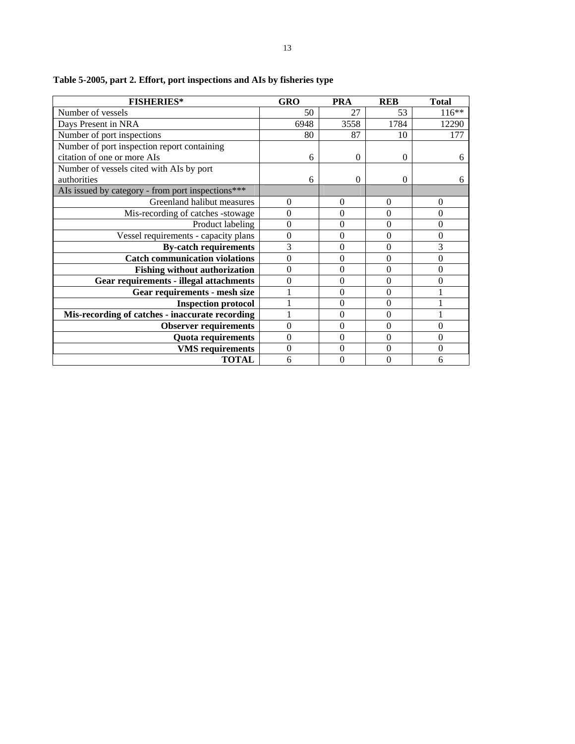| <b>FISHERIES*</b>                                 | <b>GRO</b>       | <b>PRA</b> | <b>REB</b>       | <b>Total</b> |
|---------------------------------------------------|------------------|------------|------------------|--------------|
| Number of vessels                                 | 50               | 27         | 53               | $116**$      |
| Days Present in NRA                               | 6948             | 3558       | 1784             | 12290        |
| Number of port inspections                        | 80               | 87         | 10               | 177          |
| Number of port inspection report containing       |                  |            |                  |              |
| citation of one or more AIs                       | 6                | 0          | $\Omega$         | 6            |
| Number of vessels cited with AIs by port          |                  |            |                  |              |
| authorities                                       | 6                | 0          | $\Omega$         | 6            |
| AIs issued by category - from port inspections*** |                  |            |                  |              |
| Greenland halibut measures                        | $\theta$         | $\Omega$   | 0                | 0            |
| Mis-recording of catches -stowage                 | $\theta$         | $\Omega$   | $\theta$         | 0            |
| Product labeling                                  | $\theta$         | $\theta$   | $\theta$         | $\theta$     |
| Vessel requirements - capacity plans              | $\theta$         | $\Omega$   | $\theta$         | $\theta$     |
| <b>By-catch requirements</b>                      | 3                | $\Omega$   | $\theta$         | 3            |
| <b>Catch communication violations</b>             | $\theta$         | $\Omega$   | $\theta$         | $\theta$     |
| <b>Fishing without authorization</b>              | $\theta$         | $\Omega$   | $\theta$         | $\theta$     |
| <b>Gear requirements - illegal attachments</b>    | $\boldsymbol{0}$ | $\Omega$   | $\theta$         | $\theta$     |
| <b>Gear requirements - mesh size</b>              |                  | $\theta$   | $\theta$         |              |
| <b>Inspection protocol</b>                        |                  | $\theta$   | $\theta$         |              |
| Mis-recording of catches - inaccurate recording   |                  | $\Omega$   | $\boldsymbol{0}$ |              |
| <b>Observer requirements</b>                      | $\theta$         | $\Omega$   | $\theta$         | $\theta$     |
| <b>Quota requirements</b>                         | $\theta$         | $\Omega$   | $\theta$         | 0            |
| <b>VMS</b> requirements                           | $\boldsymbol{0}$ | $\Omega$   | $\boldsymbol{0}$ | $\theta$     |
| TOTAL                                             | 6                | $\Omega$   | 0                | 6            |

**Table 5-2005, part 2. Effort, port inspections and AIs by fisheries type**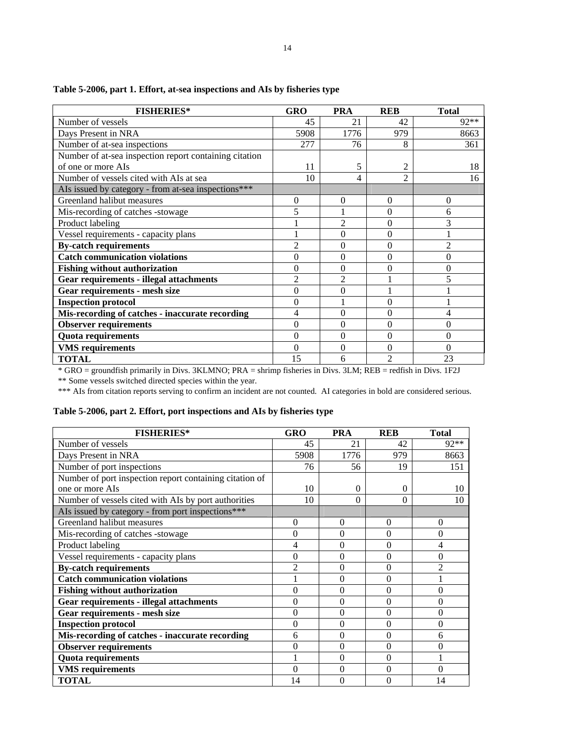| <b>FISHERIES*</b>                                      | <b>GRO</b>     | <b>PRA</b>     | <b>REB</b>     | <b>Total</b>   |
|--------------------------------------------------------|----------------|----------------|----------------|----------------|
| Number of vessels                                      | 45             | 21             | 42             | $92**$         |
| Days Present in NRA                                    | 5908           | 1776           | 979            | 8663           |
| Number of at-sea inspections                           | 277            | 76             | 8              | 361            |
| Number of at-sea inspection report containing citation |                |                |                |                |
| of one or more AIs                                     | 11             | 5              | 2              | 18             |
| Number of vessels cited with AIs at sea                | 10             | 4              | $\mathfrak{D}$ | 16             |
| AIs issued by category - from at-sea inspections***    |                |                |                |                |
| Greenland halibut measures                             | $\overline{0}$ | 0              | 0              | $\theta$       |
| Mis-recording of catches -stowage                      | 5              |                | 0              | 6              |
| Product labeling                                       |                | $\overline{2}$ | $\theta$       | 3              |
| Vessel requirements - capacity plans                   |                | $\mathbf{0}$   | $\overline{0}$ |                |
| <b>By-catch requirements</b>                           | $\overline{2}$ | $\theta$       | $\theta$       | $\overline{2}$ |
| <b>Catch communication violations</b>                  | $\overline{0}$ | $\theta$       | $\theta$       | $\theta$       |
| <b>Fishing without authorization</b>                   | $\overline{0}$ | 0              | 0              | $\overline{0}$ |
| <b>Gear requirements - illegal attachments</b>         | $\overline{2}$ | $\overline{2}$ |                | 5              |
| <b>Gear requirements - mesh size</b>                   | $\overline{0}$ | $\theta$       |                |                |
| <b>Inspection protocol</b>                             | $\theta$       | 1              | $\theta$       |                |
| Mis-recording of catches - inaccurate recording        | 4              | $\theta$       | $\overline{0}$ | 4              |
| <b>Observer requirements</b>                           | $\overline{0}$ | $\theta$       | $\theta$       | $\theta$       |
| <b>Quota requirements</b>                              | $\theta$       | $\theta$       | $\theta$       | $\theta$       |
| <b>VMS</b> requirements                                | 0              | $\theta$       | $\theta$       | $\Omega$       |
| <b>TOTAL</b>                                           | 15             | 6              | 2              | 23             |

**Table 5-2006, part 1. Effort, at-sea inspections and AIs by fisheries type** 

\*\* Some vessels switched directed species within the year.

\*\*\* AIs from citation reports serving to confirm an incident are not counted. AI categories in bold are considered serious.

# **Table 5-2006, part 2. Effort, port inspections and AIs by fisheries type**

| <b>FISHERIES*</b>                                       | <b>GRO</b>     | <b>PRA</b> | <b>REB</b>     | <b>Total</b>   |
|---------------------------------------------------------|----------------|------------|----------------|----------------|
| Number of vessels                                       | 45             | 21         | 42             | $92**$         |
| Days Present in NRA                                     | 5908           | 1776       | 979            | 8663           |
| Number of port inspections                              | 76             | 56         | 19             | 151            |
| Number of port inspection report containing citation of |                |            |                |                |
| one or more AIs                                         | 10             | $\theta$   | $\Omega$       | 10             |
| Number of vessels cited with AIs by port authorities    | 10             | $\Omega$   | 0              | 10             |
| AIs issued by category - from port inspections***       |                |            |                |                |
| Greenland halibut measures                              | $\theta$       | $\theta$   | $\overline{0}$ | 0              |
| Mis-recording of catches -stowage                       | 0              | $\Omega$   | $\Omega$       | $\Omega$       |
| Product labeling                                        | 4              | $\theta$   | $\theta$       | 4              |
| Vessel requirements - capacity plans                    | $\theta$       | 0          | $\theta$       | $\theta$       |
| <b>By-catch requirements</b>                            | $\mathfrak{D}$ | $\theta$   | $\theta$       | $\mathfrak{D}$ |
| <b>Catch communication violations</b>                   |                | $\Omega$   | $\theta$       |                |
| <b>Fishing without authorization</b>                    | 0              | $\theta$   | $\theta$       | $\theta$       |
| <b>Gear requirements - illegal attachments</b>          | $\theta$       | $\theta$   | $\theta$       | $\Omega$       |
| Gear requirements - mesh size                           | 0              | $\theta$   | $\theta$       | 0              |
| <b>Inspection protocol</b>                              | 0              | $\Omega$   | $\Omega$       | 0              |
| Mis-recording of catches - inaccurate recording         | 6              | $\theta$   | $\theta$       | 6              |
| <b>Observer requirements</b>                            | 0              | 0          | $\theta$       | $\theta$       |
| Quota requirements                                      |                | 0          | $\theta$       |                |
| <b>VMS</b> requirements                                 | $\theta$       | $\theta$   | $\theta$       | $\Omega$       |
| <b>TOTAL</b>                                            | 14             | $\theta$   | $\theta$       | 14             |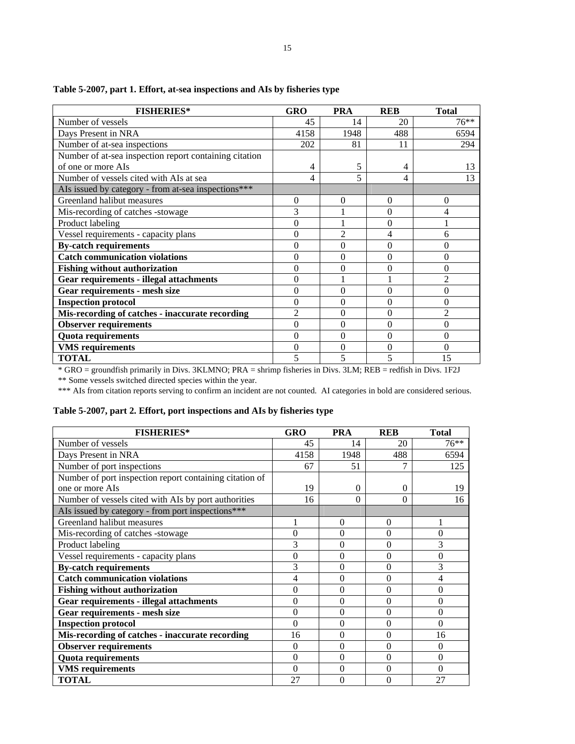| <b>FISHERIES*</b>                                      | <b>GRO</b>       | <b>PRA</b> | <b>REB</b> | <b>Total</b>   |
|--------------------------------------------------------|------------------|------------|------------|----------------|
| Number of vessels                                      | 45               | 14         | 20         | $76***$        |
| Days Present in NRA                                    | 4158             | 1948       | 488        | 6594           |
| Number of at-sea inspections                           | 202              | 81         | 11         | 294            |
| Number of at-sea inspection report containing citation |                  |            |            |                |
| of one or more AIs                                     | 4                | 5          | 4          | 13             |
| Number of vessels cited with AIs at sea                | 4                | 5          | 4          | 13             |
| AIs issued by category - from at-sea inspections***    |                  |            |            |                |
| Greenland halibut measures                             | $\theta$         | $\theta$   | $\theta$   | 0              |
| Mis-recording of catches -stowage                      | 3                |            | $\Omega$   | 4              |
| Product labeling                                       | $\theta$         |            | $\Omega$   |                |
| Vessel requirements - capacity plans                   | $\theta$         | 2          | 4          | 6              |
| <b>By-catch requirements</b>                           | $\theta$         | $\theta$   | $\theta$   | 0              |
| <b>Catch communication violations</b>                  | $\boldsymbol{0}$ | 0          | $\Omega$   | $\Omega$       |
| <b>Fishing without authorization</b>                   | $\theta$         | $\theta$   | $\theta$   | $\Omega$       |
| <b>Gear requirements - illegal attachments</b>         | $\theta$         |            |            | $\overline{c}$ |
| <b>Gear requirements - mesh size</b>                   | $\theta$         | 0          | $\Omega$   | $\theta$       |
| <b>Inspection protocol</b>                             | $\theta$         | 0          | $\Omega$   | 0              |
| Mis-recording of catches - inaccurate recording        | $\overline{2}$   | 0          | $\Omega$   | 2              |
| <b>Observer requirements</b>                           | $\overline{0}$   | $\theta$   | $\theta$   | $\theta$       |
| <b>Quota requirements</b>                              | $\theta$         | $\theta$   | $\theta$   | $\theta$       |
| <b>VMS</b> requirements                                | $\overline{0}$   | $\theta$   | $\Omega$   | $\Omega$       |
| <b>TOTAL</b>                                           | 5                | 5          |            | 15             |

**Table 5-2007, part 1. Effort, at-sea inspections and AIs by fisheries type** 

\*\* Some vessels switched directed species within the year.

\*\*\* AIs from citation reports serving to confirm an incident are not counted. AI categories in bold are considered serious.

# **Table 5-2007, part 2. Effort, port inspections and AIs by fisheries type**

| <b>FISHERIES*</b>                                       | <b>GRO</b>     | <b>PRA</b> | <b>REB</b>   | <b>Total</b>   |
|---------------------------------------------------------|----------------|------------|--------------|----------------|
| Number of vessels                                       | 45             | 14         | 20           | $76***$        |
| Days Present in NRA                                     | 4158           | 1948       | 488          | 6594           |
| Number of port inspections                              | 67             | 51         |              | 125            |
| Number of port inspection report containing citation of |                |            |              |                |
| one or more AIs                                         | 19             | $\Omega$   | $\Omega$     | 19             |
| Number of vessels cited with AIs by port authorities    | 16             | 0          | 0            | 16             |
| AIs issued by category - from port inspections***       |                |            |              |                |
| Greenland halibut measures                              |                | $\Omega$   | $\theta$     |                |
| Mis-recording of catches -stowage                       | 0              | $\Omega$   | $\theta$     | $\theta$       |
| Product labeling                                        | 3              | $\Omega$   | $\theta$     | 3              |
| Vessel requirements - capacity plans                    | $\theta$       | $\Omega$   | $\mathbf{0}$ | $\overline{0}$ |
| <b>By-catch requirements</b>                            | 3              | $\theta$   | $\theta$     | 3              |
| <b>Catch communication violations</b>                   | 4              | $\Omega$   | $\theta$     | 4              |
| <b>Fishing without authorization</b>                    | $\overline{0}$ | $\Omega$   | $\theta$     | $\overline{0}$ |
| <b>Gear requirements - illegal attachments</b>          | $\theta$       | $\Omega$   | $\theta$     | $\theta$       |
| Gear requirements - mesh size                           | $\theta$       | $\Omega$   | $\mathbf{0}$ | $\theta$       |
| <b>Inspection protocol</b>                              | $\Omega$       | $\Omega$   | $\theta$     | $\Omega$       |
| Mis-recording of catches - inaccurate recording         | 16             | $\Omega$   | $\theta$     | 16             |
| <b>Observer requirements</b>                            | $\theta$       | $\Omega$   | $\theta$     | $\theta$       |
| <b>Quota requirements</b>                               | $\theta$       | $\Omega$   | $\theta$     | $\theta$       |
| <b>VMS</b> requirements                                 | $\theta$       | $\Omega$   | $\theta$     | $\theta$       |
| <b>TOTAL</b>                                            | 27             | $\Omega$   | $\theta$     | 27             |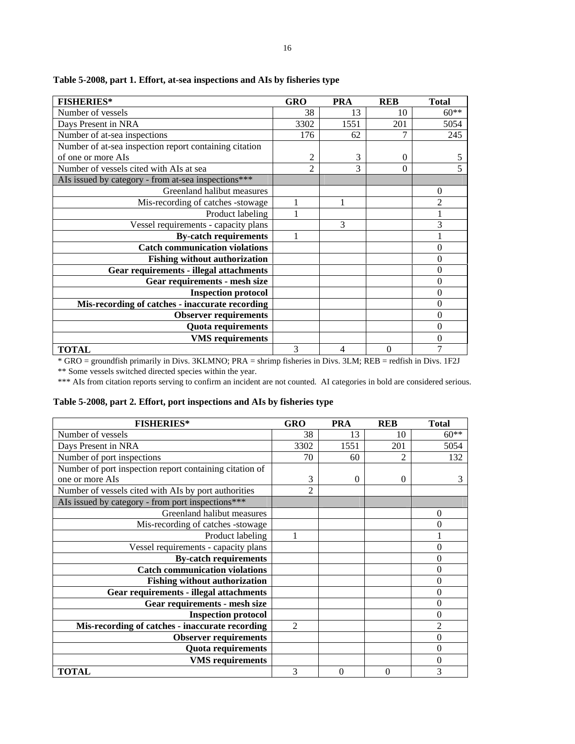| <b>FISHERIES*</b>                                      | <b>GRO</b>     | <b>PRA</b> | <b>REB</b> | <b>Total</b>   |
|--------------------------------------------------------|----------------|------------|------------|----------------|
| Number of vessels                                      | 38             | 13         | 10         | $60**$         |
| Days Present in NRA                                    | 3302           | 1551       | 201        | 5054           |
| Number of at-sea inspections                           | 176            | 62         |            | 245            |
| Number of at-sea inspection report containing citation |                |            |            |                |
| of one or more AIs                                     | 2              | 3          | $\theta$   | 5              |
| Number of vessels cited with AIs at sea                | $\overline{2}$ | 3          | 0          | 5              |
| AIs issued by category - from at-sea inspections***    |                |            |            |                |
| Greenland halibut measures                             |                |            |            | 0              |
| Mis-recording of catches -stowage                      |                |            |            | $\mathfrak{D}$ |
| Product labeling                                       |                |            |            |                |
| Vessel requirements - capacity plans                   |                | 3          |            | 3              |
| <b>By-catch requirements</b>                           |                |            |            |                |
| <b>Catch communication violations</b>                  |                |            |            | 0              |
| <b>Fishing without authorization</b>                   |                |            |            | 0              |
| <b>Gear requirements - illegal attachments</b>         |                |            |            | $\overline{0}$ |
| Gear requirements - mesh size                          |                |            |            | 0              |
| <b>Inspection protocol</b>                             |                |            |            | $\theta$       |
| Mis-recording of catches - inaccurate recording        |                |            |            | 0              |
| <b>Observer requirements</b>                           |                |            |            | 0              |
| Quota requirements                                     |                |            |            | $\theta$       |
| <b>VMS</b> requirements                                |                |            |            | 0              |
| <b>TOTAL</b>                                           | 3              | 4          | $\Omega$   |                |

**Table 5-2008, part 1. Effort, at-sea inspections and AIs by fisheries type** 

\* GRO = groundfish primarily in Divs. 3KLMNO; PRA = shrimp fisheries in Divs. 3LM; REB = redfish in Divs. 1F2J \*\* Some vessels switched directed species within the year.

| Table 5-2008, part 2. Effort, port inspections and AIs by fisheries type |  |
|--------------------------------------------------------------------------|--|
|--------------------------------------------------------------------------|--|

| <b>FISHERIES*</b>                                       | <b>GRO</b>     | <b>PRA</b> | <b>REB</b> | <b>Total</b>   |
|---------------------------------------------------------|----------------|------------|------------|----------------|
| Number of vessels                                       | 38             | 13         | 10         | $60**$         |
| Days Present in NRA                                     | 3302           | 1551       | 201        | 5054           |
| Number of port inspections                              | 70             | 60         | 2          | 132            |
| Number of port inspection report containing citation of |                |            |            |                |
| one or more AIs                                         | 3              | 0          | $\Omega$   | 3              |
| Number of vessels cited with AIs by port authorities    | 2              |            |            |                |
| AIs issued by category - from port inspections***       |                |            |            |                |
| Greenland halibut measures                              |                |            |            | $\theta$       |
| Mis-recording of catches -stowage                       |                |            |            | 0              |
| Product labeling                                        | 1              |            |            |                |
| Vessel requirements - capacity plans                    |                |            |            | $\theta$       |
| <b>By-catch requirements</b>                            |                |            |            | 0              |
| <b>Catch communication violations</b>                   |                |            |            | 0              |
| <b>Fishing without authorization</b>                    |                |            |            | 0              |
| <b>Gear requirements - illegal attachments</b>          |                |            |            | 0              |
| Gear requirements - mesh size                           |                |            |            | 0              |
| <b>Inspection protocol</b>                              |                |            |            | 0              |
| Mis-recording of catches - inaccurate recording         | $\mathfrak{D}$ |            |            | $\overline{2}$ |
| <b>Observer requirements</b>                            |                |            |            | 0              |
| Quota requirements                                      |                |            |            | $\theta$       |
| <b>VMS</b> requirements                                 |                |            |            | 0              |
| <b>TOTAL</b>                                            | 3              | $\theta$   | $\theta$   | 3              |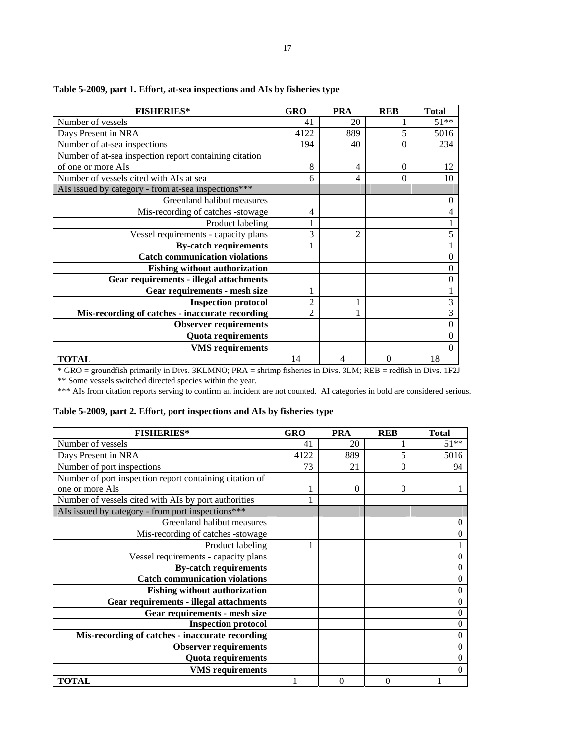| <b>FISHERIES*</b>                                      | <b>GRO</b>     | <b>PRA</b>     | <b>REB</b> | <b>Total</b> |
|--------------------------------------------------------|----------------|----------------|------------|--------------|
| Number of vessels                                      | 41             | 20             |            | $51**$       |
| Days Present in NRA                                    | 4122           | 889            | 5          | 5016         |
| Number of at-sea inspections                           | 194            | 40             | $\Omega$   | 234          |
| Number of at-sea inspection report containing citation |                |                |            |              |
| of one or more AIs                                     | 8              | 4              | 0          | 12           |
| Number of vessels cited with AIs at sea                | 6              | 4              | $\Omega$   | 10           |
| AIs issued by category - from at-sea inspections***    |                |                |            |              |
| Greenland halibut measures                             |                |                |            | 0            |
| Mis-recording of catches -stowage                      | 4              |                |            | 4            |
| Product labeling                                       |                |                |            |              |
| Vessel requirements - capacity plans                   | 3              | $\overline{c}$ |            | 5            |
| <b>By-catch requirements</b>                           |                |                |            |              |
| <b>Catch communication violations</b>                  |                |                |            | 0            |
| <b>Fishing without authorization</b>                   |                |                |            | 0            |
| <b>Gear requirements - illegal attachments</b>         |                |                |            | 0            |
| Gear requirements - mesh size                          |                |                |            |              |
| <b>Inspection protocol</b>                             | $\overline{2}$ |                |            | 3            |
| Mis-recording of catches - inaccurate recording        | $\overline{2}$ |                |            | 3            |
| <b>Observer requirements</b>                           |                |                |            | 0            |
| <b>Quota requirements</b>                              |                |                |            | 0            |
| <b>VMS</b> requirements                                |                |                |            | $\Omega$     |
| <b>TOTAL</b>                                           | 14             | 4              | 0          | 18           |

**Table 5-2009, part 1. Effort, at-sea inspections and AIs by fisheries type** 

\* GRO = groundfish primarily in Divs. 3KLMNO; PRA = shrimp fisheries in Divs. 3LM; REB = redfish in Divs. 1F2J \*\* Some vessels switched directed species within the year.

|  |  |  | Table 5-2009, part 2. Effort, port inspections and AIs by fisheries type |
|--|--|--|--------------------------------------------------------------------------|
|--|--|--|--------------------------------------------------------------------------|

| <b>FISHERIES*</b>                                       | <b>GRO</b> | <b>PRA</b> | <b>REB</b>     | <b>Total</b> |
|---------------------------------------------------------|------------|------------|----------------|--------------|
| Number of vessels                                       | 41         | 20         |                | $51**$       |
| Days Present in NRA                                     | 4122       | 889        | 5              | 5016         |
| Number of port inspections                              | 73         | 21         | 0              | 94           |
| Number of port inspection report containing citation of |            |            |                |              |
| one or more AIs                                         |            | 0          | 0              |              |
| Number of vessels cited with AIs by port authorities    |            |            |                |              |
| AIs issued by category - from port inspections***       |            |            |                |              |
| Greenland halibut measures                              |            |            |                | 0            |
| Mis-recording of catches -stowage                       |            |            |                | $\theta$     |
| Product labeling                                        |            |            |                |              |
| Vessel requirements - capacity plans                    |            |            |                | 0            |
| <b>By-catch requirements</b>                            |            |            |                | 0            |
| <b>Catch communication violations</b>                   |            |            |                | 0            |
| <b>Fishing without authorization</b>                    |            |            |                | 0            |
| <b>Gear requirements - illegal attachments</b>          |            |            |                | 0            |
| Gear requirements - mesh size                           |            |            |                | 0            |
| <b>Inspection protocol</b>                              |            |            |                | 0            |
| Mis-recording of catches - inaccurate recording         |            |            |                | 0            |
| <b>Observer requirements</b>                            |            |            |                | 0            |
| Quota requirements                                      |            |            |                | 0            |
| <b>VMS</b> requirements                                 |            |            |                | 0            |
| <b>TOTAL</b>                                            |            | $\theta$   | $\overline{0}$ |              |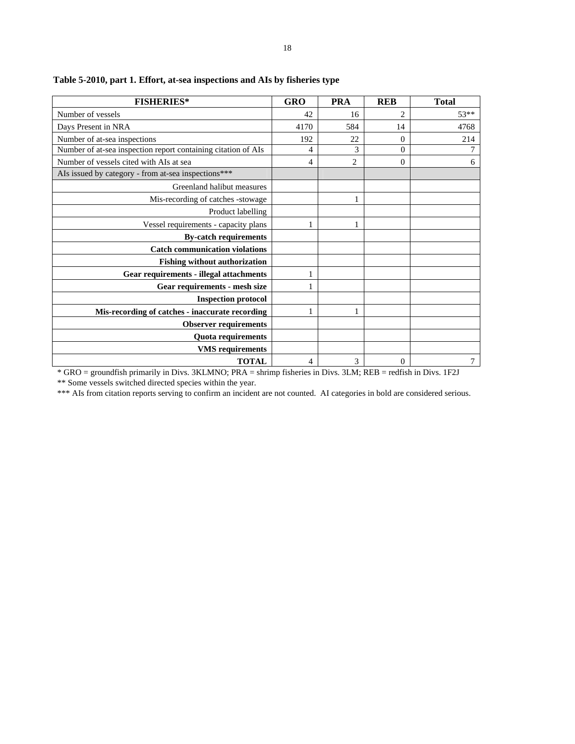| <b>FISHERIES*</b>                                                    | <b>GRO</b>         | <b>PRA</b>                | <b>REB</b>      | <b>Total</b> |
|----------------------------------------------------------------------|--------------------|---------------------------|-----------------|--------------|
| Number of vessels                                                    | 42                 | 16                        | 2               | $53**$       |
| Days Present in NRA                                                  | 4170               | 584                       | 14              | 4768         |
| Number of at-sea inspections                                         | 192                | 22                        | 0               | 214          |
| Number of at-sea inspection report containing citation of AIs        | 4                  | 3                         | 0               |              |
| Number of vessels cited with AIs at sea                              | 4                  | 2                         | 0               | 6            |
| AIs issued by category - from at-sea inspections***                  |                    |                           |                 |              |
| Greenland halibut measures                                           |                    |                           |                 |              |
| Mis-recording of catches -stowage                                    |                    |                           |                 |              |
| Product labelling                                                    |                    |                           |                 |              |
| Vessel requirements - capacity plans                                 |                    |                           |                 |              |
| <b>By-catch requirements</b>                                         |                    |                           |                 |              |
| <b>Catch communication violations</b>                                |                    |                           |                 |              |
| <b>Fishing without authorization</b>                                 |                    |                           |                 |              |
| Gear requirements - illegal attachments                              |                    |                           |                 |              |
| Gear requirements - mesh size                                        |                    |                           |                 |              |
| <b>Inspection protocol</b>                                           |                    |                           |                 |              |
| Mis-recording of catches - inaccurate recording                      |                    |                           |                 |              |
| <b>Observer requirements</b>                                         |                    |                           |                 |              |
| Quota requirements                                                   |                    |                           |                 |              |
| <b>VMS</b> requirements                                              |                    |                           |                 |              |
| <b>TOTAL</b><br>$104$ $16$<br>ATITLUMLO<br>$\sim$ $\sim$<br>$\cdots$ | 4<br>$\sim$ $\sim$ | 3<br>$\mathbf{r}$<br>27.3 | 0<br><b>DDD</b> | $102 + 102$  |

**Table 5-2010, part 1. Effort, at-sea inspections and AIs by fisheries type** 

\*\* Some vessels switched directed species within the year.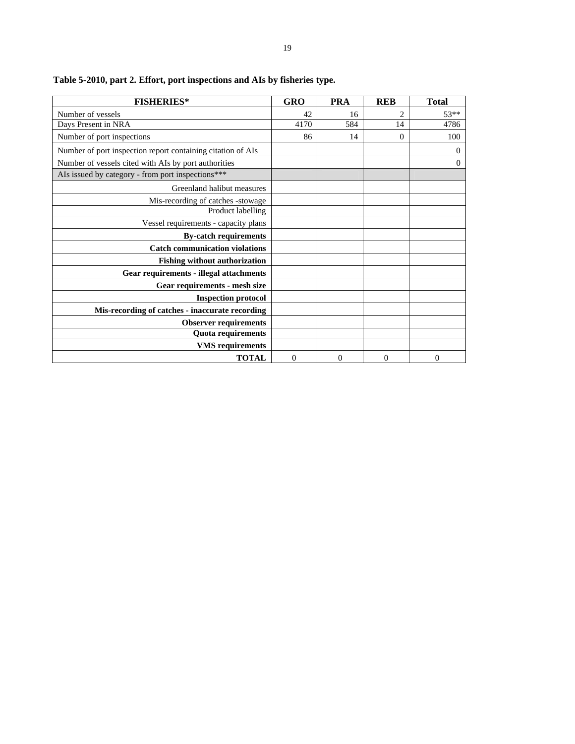| <b>FISHERIES*</b>                                           | <b>GRO</b>   | <b>PRA</b> | <b>REB</b>     | <b>Total</b>     |
|-------------------------------------------------------------|--------------|------------|----------------|------------------|
| Number of vessels                                           | 42           | 16         | $\overline{2}$ | $53**$           |
| Days Present in NRA                                         | 4170         | 584        | 14             | 4786             |
| Number of port inspections                                  | 86           | 14         | $\mathbf{0}$   | 100              |
| Number of port inspection report containing citation of AIs |              |            |                | $\boldsymbol{0}$ |
| Number of vessels cited with AIs by port authorities        |              |            |                | $\overline{0}$   |
| AIs issued by category - from port inspections***           |              |            |                |                  |
| Greenland halibut measures                                  |              |            |                |                  |
| Mis-recording of catches -stowage                           |              |            |                |                  |
| Product labelling                                           |              |            |                |                  |
| Vessel requirements - capacity plans                        |              |            |                |                  |
| <b>By-catch requirements</b>                                |              |            |                |                  |
| <b>Catch communication violations</b>                       |              |            |                |                  |
| <b>Fishing without authorization</b>                        |              |            |                |                  |
| Gear requirements - illegal attachments                     |              |            |                |                  |
| Gear requirements - mesh size                               |              |            |                |                  |
| <b>Inspection protocol</b>                                  |              |            |                |                  |
| Mis-recording of catches - inaccurate recording             |              |            |                |                  |
| <b>Observer requirements</b>                                |              |            |                |                  |
| Quota requirements                                          |              |            |                |                  |
| <b>VMS</b> requirements                                     |              |            |                |                  |
| <b>TOTAL</b>                                                | $\mathbf{0}$ | $\theta$   | $\theta$       | $\theta$         |

**Table 5-2010, part 2. Effort, port inspections and AIs by fisheries type.**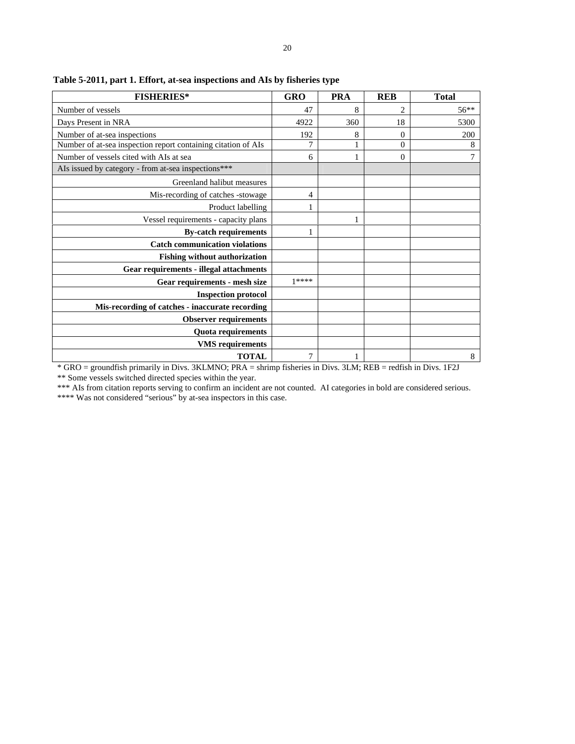| <b>FISHERIES*</b>                                             | <b>GRO</b> | <b>PRA</b> | <b>REB</b> | <b>Total</b> |
|---------------------------------------------------------------|------------|------------|------------|--------------|
| Number of vessels                                             | 47         | 8          | 2          | $56**$       |
| Days Present in NRA                                           | 4922       | 360        | 18         | 5300         |
| Number of at-sea inspections                                  | 192        | 8          | 0          | 200          |
| Number of at-sea inspection report containing citation of AIs | 7          |            | $\Omega$   | 8            |
| Number of vessels cited with AIs at sea                       | 6          |            | $\Omega$   |              |
| AIs issued by category - from at-sea inspections***           |            |            |            |              |
| Greenland halibut measures                                    |            |            |            |              |
| Mis-recording of catches -stowage                             | 4          |            |            |              |
| Product labelling                                             |            |            |            |              |
| Vessel requirements - capacity plans                          |            |            |            |              |
| <b>By-catch requirements</b>                                  |            |            |            |              |
| <b>Catch communication violations</b>                         |            |            |            |              |
| <b>Fishing without authorization</b>                          |            |            |            |              |
| Gear requirements - illegal attachments                       |            |            |            |              |
| Gear requirements - mesh size                                 | $1****$    |            |            |              |
| <b>Inspection protocol</b>                                    |            |            |            |              |
| Mis-recording of catches - inaccurate recording               |            |            |            |              |
| <b>Observer requirements</b>                                  |            |            |            |              |
| <b>Quota requirements</b>                                     |            |            |            |              |
| <b>VMS</b> requirements                                       |            |            |            |              |
| <b>TOTAL</b>                                                  | 7          |            |            | 8            |

**Table 5-2011, part 1. Effort, at-sea inspections and AIs by fisheries type** 

\*\* Some vessels switched directed species within the year.

\*\*\* AIs from citation reports serving to confirm an incident are not counted. AI categories in bold are considered serious.

\*\*\*\* Was not considered "serious" by at-sea inspectors in this case.